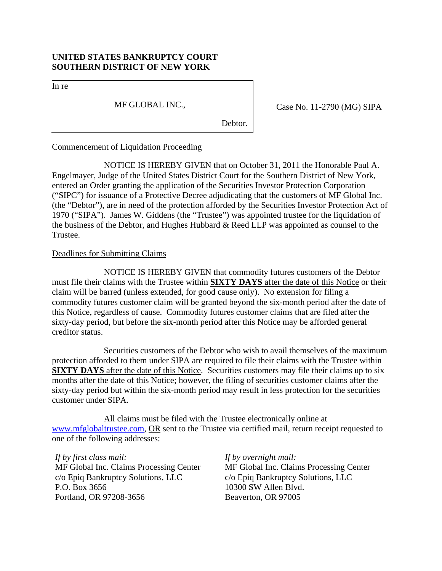# **UNITED STATES BANKRUPTCY COURT SOUTHERN DISTRICT OF NEW YORK**

In re

MF GLOBAL INC.,

Case No. 11-2790 (MG) SIPA

Debtor.

## Commencement of Liquidation Proceeding

NOTICE IS HEREBY GIVEN that on October 31, 2011 the Honorable Paul A. Engelmayer, Judge of the United States District Court for the Southern District of New York, entered an Order granting the application of the Securities Investor Protection Corporation ("SIPC") for issuance of a Protective Decree adjudicating that the customers of MF Global Inc. (the "Debtor"), are in need of the protection afforded by the Securities Investor Protection Act of 1970 ("SIPA"). James W. Giddens (the "Trustee") was appointed trustee for the liquidation of the business of the Debtor, and Hughes Hubbard & Reed LLP was appointed as counsel to the Trustee.

## Deadlines for Submitting Claims

NOTICE IS HEREBY GIVEN that commodity futures customers of the Debtor must file their claims with the Trustee within **SIXTY DAYS** after the date of this Notice or their claim will be barred (unless extended, for good cause only). No extension for filing a commodity futures customer claim will be granted beyond the six-month period after the date of this Notice, regardless of cause. Commodity futures customer claims that are filed after the sixty-day period, but before the six-month period after this Notice may be afforded general creditor status.

Securities customers of the Debtor who wish to avail themselves of the maximum protection afforded to them under SIPA are required to file their claims with the Trustee within **SIXTY DAYS** after the date of this Notice. Securities customers may file their claims up to six months after the date of this Notice; however, the filing of securities customer claims after the sixty-day period but within the six-month period may result in less protection for the securities customer under SIPA.

All claims must be filed with the Trustee electronically online at www.mfglobaltrustee.com, OR sent to the Trustee via certified mail, return receipt requested to one of the following addresses:

*If by first class mail:*  MF Global Inc. Claims Processing Center c/o Epiq Bankruptcy Solutions, LLC P.O. Box 3656 Portland, OR 97208-3656

*If by overnight mail:* MF Global Inc. Claims Processing Center c/o Epiq Bankruptcy Solutions, LLC 10300 SW Allen Blvd. Beaverton, OR 97005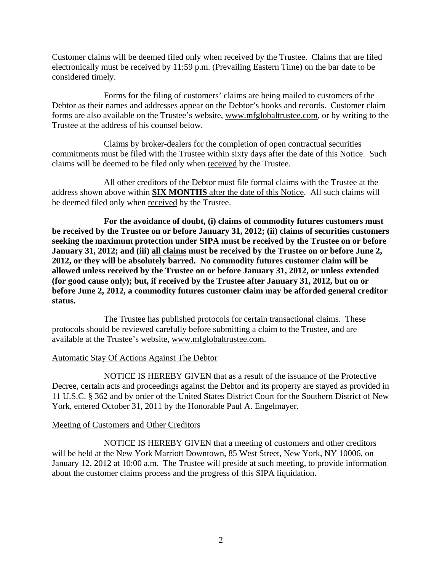Customer claims will be deemed filed only when received by the Trustee. Claims that are filed electronically must be received by 11:59 p.m. (Prevailing Eastern Time) on the bar date to be considered timely.

Forms for the filing of customers' claims are being mailed to customers of the Debtor as their names and addresses appear on the Debtor's books and records. Customer claim forms are also available on the Trustee's website, www.mfglobaltrustee.com, or by writing to the Trustee at the address of his counsel below.

Claims by broker-dealers for the completion of open contractual securities commitments must be filed with the Trustee within sixty days after the date of this Notice. Such claims will be deemed to be filed only when received by the Trustee.

All other creditors of the Debtor must file formal claims with the Trustee at the address shown above within **SIX MONTHS** after the date of this Notice. All such claims will be deemed filed only when received by the Trustee.

**For the avoidance of doubt, (i) claims of commodity futures customers must be received by the Trustee on or before January 31, 2012; (ii) claims of securities customers seeking the maximum protection under SIPA must be received by the Trustee on or before**  January 31, 2012; and (iii) all claims must be received by the Trustee on or before June 2, **2012, or they will be absolutely barred. No commodity futures customer claim will be allowed unless received by the Trustee on or before January 31, 2012, or unless extended (for good cause only); but, if received by the Trustee after January 31, 2012, but on or before June 2, 2012, a commodity futures customer claim may be afforded general creditor status.** 

 The Trustee has published protocols for certain transactional claims. These protocols should be reviewed carefully before submitting a claim to the Trustee, and are available at the Trustee's website, www.mfglobaltrustee.com.

## Automatic Stay Of Actions Against The Debtor

NOTICE IS HEREBY GIVEN that as a result of the issuance of the Protective Decree, certain acts and proceedings against the Debtor and its property are stayed as provided in 11 U.S.C. § 362 and by order of the United States District Court for the Southern District of New York, entered October 31, 2011 by the Honorable Paul A. Engelmayer.

## Meeting of Customers and Other Creditors

NOTICE IS HEREBY GIVEN that a meeting of customers and other creditors will be held at the New York Marriott Downtown, 85 West Street, New York, NY 10006, on January 12, 2012 at 10:00 a.m. The Trustee will preside at such meeting, to provide information about the customer claims process and the progress of this SIPA liquidation.